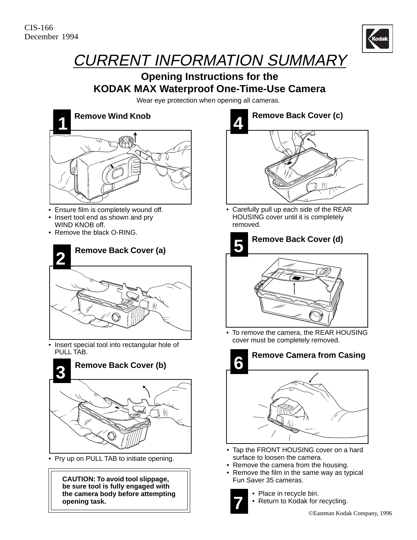

## CURRENT INFORMATION SUMMARY

## **Opening Instructions for the KODAK MAX Waterproof One-Time-Use Camera**

Wear eye protection when opening all cameras.



- Ensure film is completely wound off.
- Insert tool end as shown and pry WIND KNOB off.
- Remove the black O-RING.



• Insert special tool into rectangular hole of PULL TAB.



• Pry up on PULL TAB to initiate opening.

**CAUTION: To avoid tool slippage, be sure tool is fully engaged with the camera body before attempting opening task.**



• Carefully pull up each side of the REAR HOUSING cover until it is completely removed.



• To remove the camera, the REAR HOUSING cover must be completely removed.



- Tap the FRONT HOUSING cover on a hard surface to loosen the camera.
- Remove the camera from the housing.
- Remove the film in the same way as typical Fun Saver 35 cameras.



- Place in recycle bin.
- Return to Kodak for recycling.